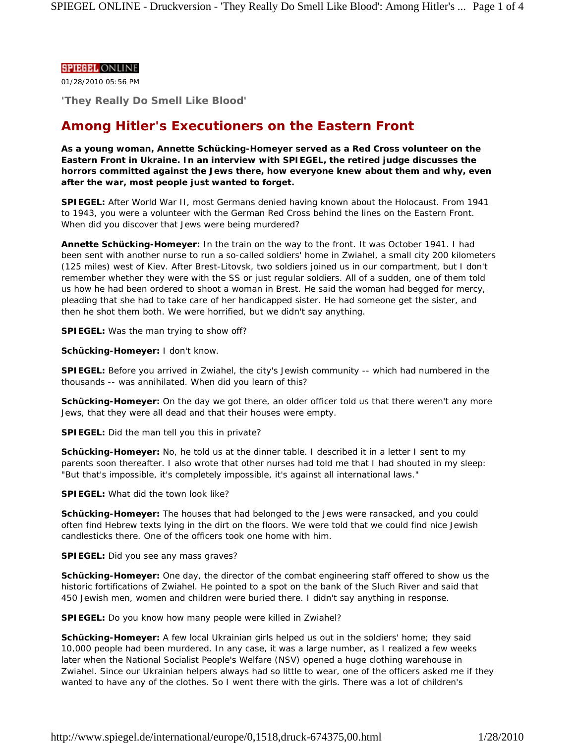## **SPIEGEL ONLINE**

01/28/2010 05:56 PM

**'They Really Do Smell Like Blood'**

# **Among Hitler's Executioners on the Eastern Front**

**As a young woman, Annette Schücking-Homeyer served as a Red Cross volunteer on the Eastern Front in Ukraine. In an interview with SPIEGEL, the retired judge discusses the horrors committed against the Jews there, how everyone knew about them and why, even after the war, most people just wanted to forget.**

**SPIEGEL:** After World War II, most Germans denied having known about the Holocaust. From 1941 to 1943, you were a volunteer with the German Red Cross behind the lines on the Eastern Front. When did you discover that Jews were being murdered?

**Annette Schücking-Homeyer:** In the train on the way to the front. It was October 1941. I had been sent with another nurse to run a so-called soldiers' home in Zwiahel, a small city 200 kilometers (125 miles) west of Kiev. After Brest-Litovsk, two soldiers joined us in our compartment, but I don't remember whether they were with the SS or just regular soldiers. All of a sudden, one of them told us how he had been ordered to shoot a woman in Brest. He said the woman had begged for mercy, pleading that she had to take care of her handicapped sister. He had someone get the sister, and then he shot them both. We were horrified, but we didn't say anything.

**SPIEGEL:** Was the man trying to show off?

**Schücking-Homeyer:** I don't know.

**SPIEGEL:** Before you arrived in Zwiahel, the city's Jewish community -- which had numbered in the thousands -- was annihilated. When did you learn of this?

**Schücking-Homeyer:** On the day we got there, an older officer told us that there weren't any more Jews, that they were all dead and that their houses were empty.

**SPIEGEL:** Did the man tell you this in private?

**Schücking-Homeyer:** No, he told us at the dinner table. I described it in a letter I sent to my parents soon thereafter. I also wrote that other nurses had told me that I had shouted in my sleep: "But that's impossible, it's completely impossible, it's against all international laws."

**SPIEGEL:** What did the town look like?

**Schücking-Homeyer:** The houses that had belonged to the Jews were ransacked, and you could often find Hebrew texts lying in the dirt on the floors. We were told that we could find nice Jewish candlesticks there. One of the officers took one home with him.

**SPIEGEL:** Did you see any mass graves?

**Schücking-Homeyer:** One day, the director of the combat engineering staff offered to show us the historic fortifications of Zwiahel. He pointed to a spot on the bank of the Sluch River and said that 450 Jewish men, women and children were buried there. I didn't say anything in response.

**SPIEGEL:** Do you know how many people were killed in Zwiahel?

**Schücking-Homeyer:** A few local Ukrainian girls helped us out in the soldiers' home; they said 10,000 people had been murdered. In any case, it was a large number, as I realized a few weeks later when the National Socialist People's Welfare (NSV) opened a huge clothing warehouse in Zwiahel. Since our Ukrainian helpers always had so little to wear, one of the officers asked me if they wanted to have any of the clothes. So I went there with the girls. There was a lot of children's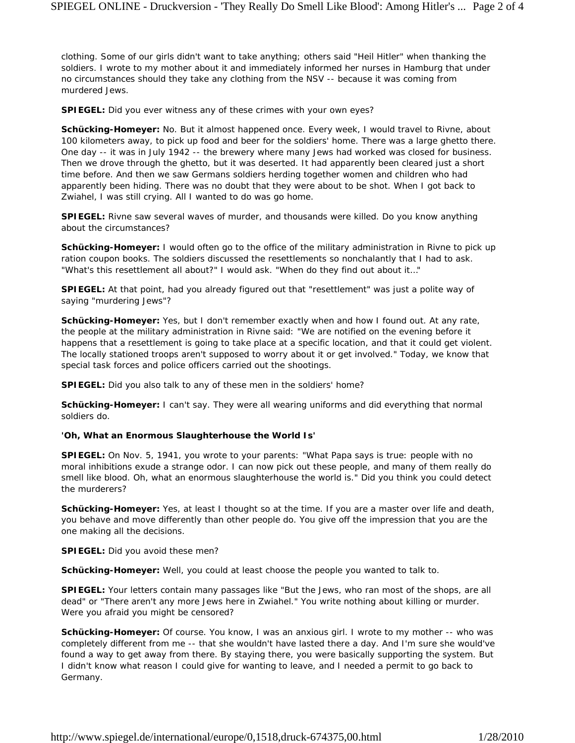clothing. Some of our girls didn't want to take anything; others said "Heil Hitler" when thanking the soldiers. I wrote to my mother about it and immediately informed her nurses in Hamburg that under no circumstances should they take any clothing from the NSV -- because it was coming from murdered Jews.

**SPIEGEL:** Did you ever witness any of these crimes with your own eyes?

**Schücking-Homeyer:** No. But it almost happened once. Every week, I would travel to Rivne, about 100 kilometers away, to pick up food and beer for the soldiers' home. There was a large ghetto there. One day -- it was in July 1942 -- the brewery where many Jews had worked was closed for business. Then we drove through the ghetto, but it was deserted. It had apparently been cleared just a short time before. And then we saw Germans soldiers herding together women and children who had apparently been hiding. There was no doubt that they were about to be shot. When I got back to Zwiahel, I was still crying. All I wanted to do was go home.

**SPIEGEL:** Rivne saw several waves of murder, and thousands were killed. Do you know anything about the circumstances?

**Schücking-Homeyer:** I would often go to the office of the military administration in Rivne to pick up ration coupon books. The soldiers discussed the resettlements so nonchalantly that I had to ask. "What's this resettlement all about?" I would ask. "When do they find out about it…"

**SPIEGEL:** At that point, had you already figured out that "resettlement" was just a polite way of saying "murdering Jews"?

**Schücking-Homeyer:** Yes, but I don't remember exactly when and how I found out. At any rate, the people at the military administration in Rivne said: "We are notified on the evening before it happens that a resettlement is going to take place at a specific location, and that it could get violent. The locally stationed troops aren't supposed to worry about it or get involved." Today, we know that special task forces and police officers carried out the shootings.

**SPIEGEL:** Did you also talk to any of these men in the soldiers' home?

**Schücking-Homeyer:** I can't say. They were all wearing uniforms and did everything that normal soldiers do.

#### **'Oh, What an Enormous Slaughterhouse the World Is'**

**SPIEGEL:** On Nov. 5, 1941, you wrote to your parents: "What Papa says is true: people with no moral inhibitions exude a strange odor. I can now pick out these people, and many of them really do smell like blood. Oh, what an enormous slaughterhouse the world is." Did you think you could detect the murderers?

**Schücking-Homeyer:** Yes, at least I thought so at the time. If you are a master over life and death, you behave and move differently than other people do. You give off the impression that you are the one making all the decisions.

**SPIEGEL:** Did you avoid these men?

**Schücking-Homeyer:** Well, you could at least choose the people you wanted to talk to.

**SPIEGEL:** Your letters contain many passages like "But the Jews, who ran most of the shops, are all dead" or "There aren't any more Jews here in Zwiahel." You write nothing about killing or murder. Were you afraid you might be censored?

**Schücking-Homeyer:** Of course. You know, I was an anxious girl. I wrote to my mother -- who was completely different from me -- that she wouldn't have lasted there a day. And I'm sure she would've found a way to get away from there. By staying there, you were basically supporting the system. But I didn't know what reason I could give for wanting to leave, and I needed a permit to go back to Germany.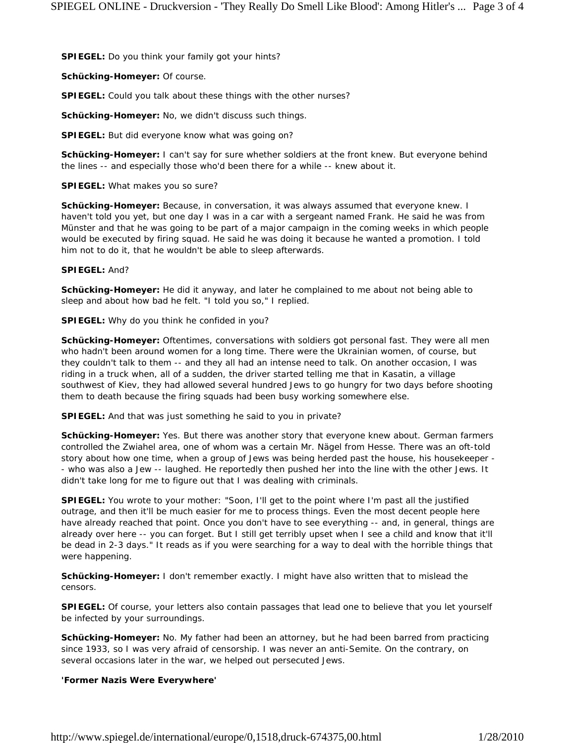**SPIEGEL:** Do you think your family got your hints?

**Schücking-Homeyer:** Of course.

**SPIEGEL:** Could you talk about these things with the other nurses?

**Schücking-Homeyer:** No, we didn't discuss such things.

**SPIEGEL:** But did everyone know what was going on?

**Schücking-Homeyer:** I can't say for sure whether soldiers at the front knew. But everyone behind the lines -- and especially those who'd been there for a while -- knew about it.

**SPIEGEL:** What makes you so sure?

**Schücking-Homeyer:** Because, in conversation, it was always assumed that everyone knew. I haven't told you yet, but one day I was in a car with a sergeant named Frank. He said he was from Münster and that he was going to be part of a major campaign in the coming weeks in which people would be executed by firing squad. He said he was doing it because he wanted a promotion. I told him not to do it, that he wouldn't be able to sleep afterwards.

#### **SPIEGEL:** And?

**Schücking-Homeyer:** He did it anyway, and later he complained to me about not being able to sleep and about how bad he felt. "I told you so," I replied.

**SPIEGEL:** Why do you think he confided in you?

**Schücking-Homeyer:** Oftentimes, conversations with soldiers got personal fast. They were all men who hadn't been around women for a long time. There were the Ukrainian women, of course, but they couldn't talk to them -- and they all had an intense need to talk. On another occasion, I was riding in a truck when, all of a sudden, the driver started telling me that in Kasatin, a village southwest of Kiev, they had allowed several hundred Jews to go hungry for two days before shooting them to death because the firing squads had been busy working somewhere else.

**SPIEGEL:** And that was just something he said to you in private?

**Schücking-Homeyer:** Yes. But there was another story that everyone knew about. German farmers controlled the Zwiahel area, one of whom was a certain Mr. Nägel from Hesse. There was an oft-told story about how one time, when a group of Jews was being herded past the house, his housekeeper - - who was also a Jew -- laughed. He reportedly then pushed her into the line with the other Jews. It didn't take long for me to figure out that I was dealing with criminals.

**SPIEGEL:** You wrote to your mother: "Soon, I'll get to the point where I'm past all the justified outrage, and then it'll be much easier for me to process things. Even the most decent people here have already reached that point. Once you don't have to see everything -- and, in general, things are already over here -- you can forget. But I still get terribly upset when I see a child and know that it'll be dead in 2-3 days." It reads as if you were searching for a way to deal with the horrible things that were happening.

**Schücking-Homeyer:** I don't remember exactly. I might have also written that to mislead the censors.

**SPIEGEL:** Of course, your letters also contain passages that lead one to believe that you let yourself be infected by your surroundings.

**Schücking-Homeyer:** No. My father had been an attorney, but he had been barred from practicing since 1933, so I was very afraid of censorship. I was never an anti-Semite. On the contrary, on several occasions later in the war, we helped out persecuted Jews.

## **'Former Nazis Were Everywhere'**